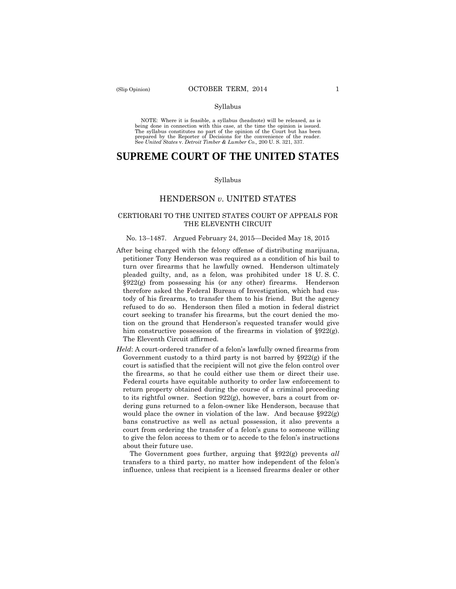#### Syllabus

 NOTE: Where it is feasible, a syllabus (headnote) will be released, as is being done in connection with this case, at the time the opinion is issued. The syllabus constitutes no part of the opinion of the Court but has been<br>prepared by the Reporter of Decisions for the convenience of the reader.<br>See United States v. Detroit Timber & Lumber Co., 200 U. S. 321, 337.

# **SUPREME COURT OF THE UNITED STATES**

#### Syllabus

# HENDERSON *v*. UNITED STATES

## CERTIORARI TO THE UNITED STATES COURT OF APPEALS FOR THE ELEVENTH CIRCUIT

#### No. 13–1487. Argued February 24, 2015—Decided May 18, 2015

- After being charged with the felony offense of distributing marijuana, petitioner Tony Henderson was required as a condition of his bail to turn over firearms that he lawfully owned. Henderson ultimately pleaded guilty, and, as a felon, was prohibited under 18 U. S. C.  $§922(g)$  from possessing his (or any other) firearms. Henderson therefore asked the Federal Bureau of Investigation, which had custody of his firearms, to transfer them to his friend. But the agency refused to do so. Henderson then filed a motion in federal district court seeking to transfer his firearms, but the court denied the motion on the ground that Henderson's requested transfer would give him constructive possession of the firearms in violation of  $\S 922(g)$ . The Eleventh Circuit affirmed.
- *Held*: A court-ordered transfer of a felon's lawfully owned firearms from Government custody to a third party is not barred by  $$922(e)$  if the court is satisfied that the recipient will not give the felon control over the firearms, so that he could either use them or direct their use. Federal courts have equitable authority to order law enforcement to return property obtained during the course of a criminal proceeding to its rightful owner. Section 922(g), however, bars a court from ordering guns returned to a felon-owner like Henderson, because that would place the owner in violation of the law. And because §922(g) bans constructive as well as actual possession, it also prevents a court from ordering the transfer of a felon's guns to someone willing to give the felon access to them or to accede to the felon's instructions about their future use.

The Government goes further, arguing that §922(g) prevents *all*  transfers to a third party, no matter how independent of the felon's influence, unless that recipient is a licensed firearms dealer or other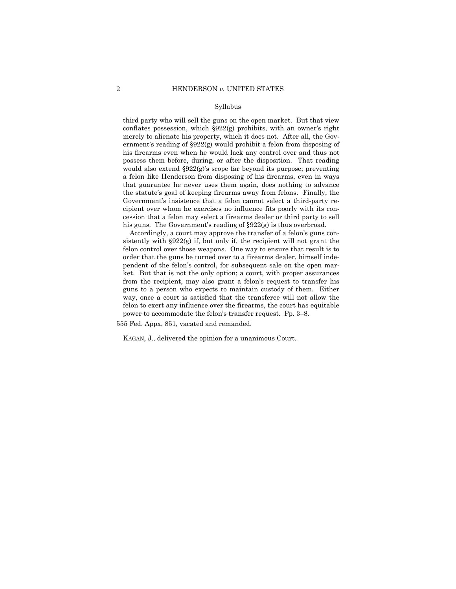#### Syllabus

third party who will sell the guns on the open market. But that view conflates possession, which §922(g) prohibits, with an owner's right merely to alienate his property, which it does not. After all, the Government's reading of §922(g) would prohibit a felon from disposing of his firearms even when he would lack any control over and thus not possess them before, during, or after the disposition. That reading would also extend §922(g)'s scope far beyond its purpose; preventing a felon like Henderson from disposing of his firearms, even in ways that guarantee he never uses them again, does nothing to advance the statute's goal of keeping firearms away from felons. Finally, the Government's insistence that a felon cannot select a third-party recipient over whom he exercises no influence fits poorly with its concession that a felon may select a firearms dealer or third party to sell his guns. The Government's reading of  $\S 922(g)$  is thus overbroad.

Accordingly, a court may approve the transfer of a felon's guns consistently with  $\S 922(g)$  if, but only if, the recipient will not grant the felon control over those weapons. One way to ensure that result is to order that the guns be turned over to a firearms dealer, himself independent of the felon's control, for subsequent sale on the open market. But that is not the only option; a court, with proper assurances from the recipient, may also grant a felon's request to transfer his guns to a person who expects to maintain custody of them. Either way, once a court is satisfied that the transferee will not allow the felon to exert any influence over the firearms, the court has equitable power to accommodate the felon's transfer request. Pp. 3–8.

555 Fed. Appx. 851, vacated and remanded.

KAGAN, J., delivered the opinion for a unanimous Court.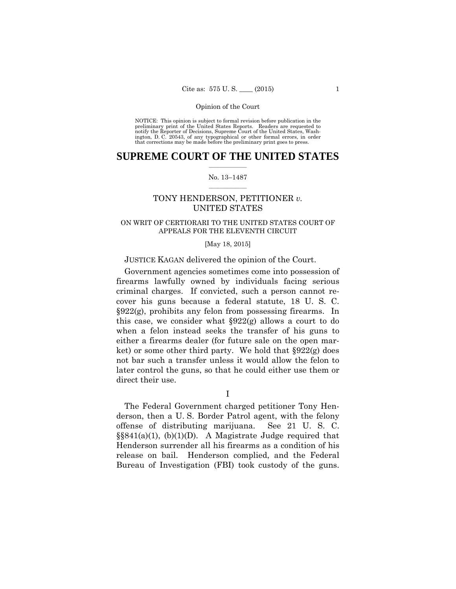preliminary print of the United States Reports. Readers are requested to notify the Reporter of Decisions, Supreme Court of the United States, Wash- ington, D. C. 20543, of any typographical or other formal errors, in order that corrections may be made before the preliminary print goes to press. NOTICE: This opinion is subject to formal revision before publication in the

# $\frac{1}{2}$  ,  $\frac{1}{2}$  ,  $\frac{1}{2}$  ,  $\frac{1}{2}$  ,  $\frac{1}{2}$  ,  $\frac{1}{2}$  ,  $\frac{1}{2}$ **SUPREME COURT OF THE UNITED STATES**

#### $\frac{1}{2}$  ,  $\frac{1}{2}$  ,  $\frac{1}{2}$  ,  $\frac{1}{2}$  ,  $\frac{1}{2}$  ,  $\frac{1}{2}$ No. 13–1487

# TONY HENDERSON, PETITIONER *v.* UNITED STATES

# ON WRIT OF CERTIORARI TO THE UNITED STATES COURT OF APPEALS FOR THE ELEVENTH CIRCUIT

#### [May 18, 2015]

## JUSTICE KAGAN delivered the opinion of the Court.

Government agencies sometimes come into possession of firearms lawfully owned by individuals facing serious criminal charges. If convicted, such a person cannot recover his guns because a federal statute, 18 U. S. C.  $\S 922(g)$ , prohibits any felon from possessing firearms. In this case, we consider what §922(g) allows a court to do when a felon instead seeks the transfer of his guns to either a firearms dealer (for future sale on the open market) or some other third party. We hold that §922(g) does not bar such a transfer unless it would allow the felon to later control the guns, so that he could either use them or direct their use.

I

 §§841(a)(1), (b)(1)(D). A Magistrate Judge required that The Federal Government charged petitioner Tony Henderson, then a U. S. Border Patrol agent, with the felony offense of distributing marijuana. See 21 U. S. C. Henderson surrender all his firearms as a condition of his release on bail. Henderson complied, and the Federal Bureau of Investigation (FBI) took custody of the guns.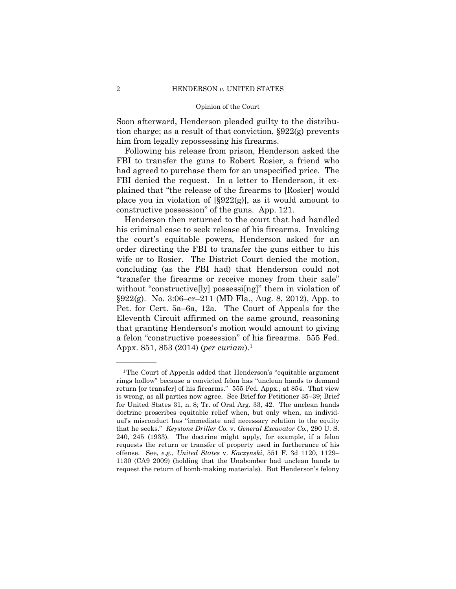Soon afterward, Henderson pleaded guilty to the distribution charge; as a result of that conviction, §922(g) prevents him from legally repossessing his firearms.

Following his release from prison, Henderson asked the FBI to transfer the guns to Robert Rosier, a friend who had agreed to purchase them for an unspecified price. The FBI denied the request. In a letter to Henderson, it explained that "the release of the firearms to [Rosier] would place you in violation of  $[\S 922(g)]$ , as it would amount to constructive possession" of the guns. App. 121.

Henderson then returned to the court that had handled his criminal case to seek release of his firearms. Invoking the court's equitable powers, Henderson asked for an order directing the FBI to transfer the guns either to his wife or to Rosier. The District Court denied the motion, concluding (as the FBI had) that Henderson could not "transfer the firearms or receive money from their sale" without "constructive<sup>[ly]</sup> possessi<sup>[ng]"</sup> them in violation of §922(g). No. 3:06–cr–211 (MD Fla., Aug. 8, 2012), App. to Pet. for Cert. 5a–6a, 12a. The Court of Appeals for the Eleventh Circuit affirmed on the same ground, reasoning that granting Henderson's motion would amount to giving a felon "constructive possession" of his firearms. 555 Fed. Appx. 851, 853 (2014) (*per curiam*).1

——————

 request the return of bomb-making materials). But Henderson's felony <sup>1</sup>The Court of Appeals added that Henderson's "equitable argument rings hollow" because a convicted felon has "unclean hands to demand return [or transfer] of his firearms." 555 Fed. Appx., at 854. That view is wrong, as all parties now agree. See Brief for Petitioner 35–39; Brief for United States 31, n. 8; Tr. of Oral Arg. 33, 42. The unclean hands doctrine proscribes equitable relief when, but only when, an individual's misconduct has "immediate and necessary relation to the equity that he seeks." *Keystone Driller Co.* v. *General Excavator Co.*, 290 U. S. 240, 245 (1933). The doctrine might apply, for example, if a felon requests the return or transfer of property used in furtherance of his offense. See, *e.g.*, *United States* v. *Kaczynski*, 551 F. 3d 1120, 1129– 1130 (CA9 2009) (holding that the Unabomber had unclean hands to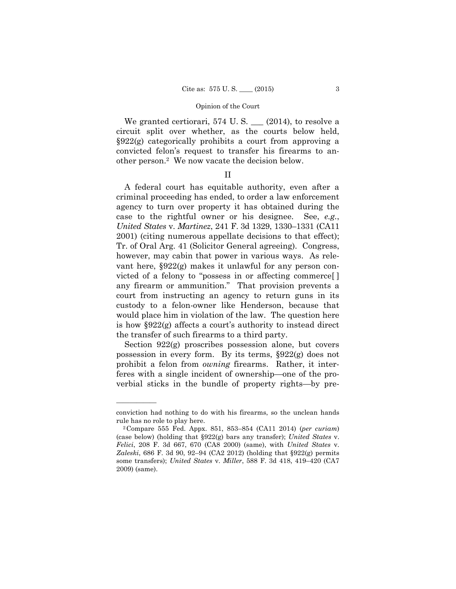We granted certiorari, 574 U.S.  $\_\_$  (2014), to resolve a circuit split over whether, as the courts below held, §922(g) categorically prohibits a court from approving a convicted felon's request to transfer his firearms to another person.2 We now vacate the decision below.

# II

A federal court has equitable authority, even after a criminal proceeding has ended, to order a law enforcement agency to turn over property it has obtained during the case to the rightful owner or his designee. See, *e.g.*, *United States* v. *Martinez*, 241 F. 3d 1329, 1330–1331 (CA11 2001) (citing numerous appellate decisions to that effect); Tr. of Oral Arg. 41 (Solicitor General agreeing). Congress, however, may cabin that power in various ways. As relevant here, §922(g) makes it unlawful for any person convicted of a felony to "possess in or affecting commerce[ ] any firearm or ammunition." That provision prevents a court from instructing an agency to return guns in its custody to a felon-owner like Henderson, because that would place him in violation of the law. The question here is how §922(g) affects a court's authority to instead direct the transfer of such firearms to a third party.

Section 922(g) proscribes possession alone, but covers possession in every form. By its terms, §922(g) does not prohibit a felon from *owning* firearms. Rather, it interferes with a single incident of ownership—one of the proverbial sticks in the bundle of property rights—by pre-

——————

conviction had nothing to do with his firearms, so the unclean hands rule has no role to play here. 2Compare 555 Fed. Appx. 851, 853–854 (CA11 2014) (*per curiam*)

<sup>(</sup>case below) (holding that §922(g) bars any transfer); *United States* v. *Felici*, 208 F. 3d 667, 670 (CA8 2000) (same), with *United States* v. *Zaleski*, 686 F. 3d 90, 92–94 (CA2 2012) (holding that §922(g) permits some transfers); *United States* v. *Miller*, 588 F. 3d 418, 419–420 (CA7 2009) (same).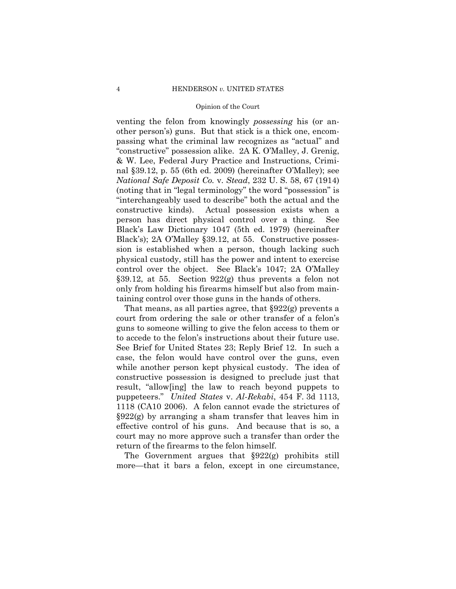venting the felon from knowingly *possessing* his (or another person's) guns. But that stick is a thick one, encompassing what the criminal law recognizes as "actual" and "constructive" possession alike. 2A K. O'Malley, J. Grenig, & W. Lee, Federal Jury Practice and Instructions, Criminal §39.12, p. 55 (6th ed. 2009) (hereinafter O'Malley); see *National Safe Deposit Co.* v. *Stead*, 232 U. S. 58, 67 (1914) (noting that in "legal terminology" the word "possession" is "interchangeably used to describe" both the actual and the constructive kinds). Actual possession exists when a person has direct physical control over a thing. See Black's Law Dictionary 1047 (5th ed. 1979) (hereinafter Black's); 2A O'Malley §39.12, at 55. Constructive possession is established when a person, though lacking such physical custody, still has the power and intent to exercise control over the object. See Black's 1047; 2A O'Malley §39.12, at 55. Section 922(g) thus prevents a felon not only from holding his firearms himself but also from maintaining control over those guns in the hands of others.

That means, as all parties agree, that §922(g) prevents a court from ordering the sale or other transfer of a felon's guns to someone willing to give the felon access to them or to accede to the felon's instructions about their future use. See Brief for United States 23; Reply Brief 12. In such a case, the felon would have control over the guns, even while another person kept physical custody. The idea of constructive possession is designed to preclude just that result, "allow[ing] the law to reach beyond puppets to puppeteers." *United States* v. *Al-Rekabi*, 454 F. 3d 1113, 1118 (CA10 2006). A felon cannot evade the strictures of §922(g) by arranging a sham transfer that leaves him in effective control of his guns. And because that is so, a court may no more approve such a transfer than order the return of the firearms to the felon himself.

The Government argues that §922(g) prohibits still more—that it bars a felon, except in one circumstance,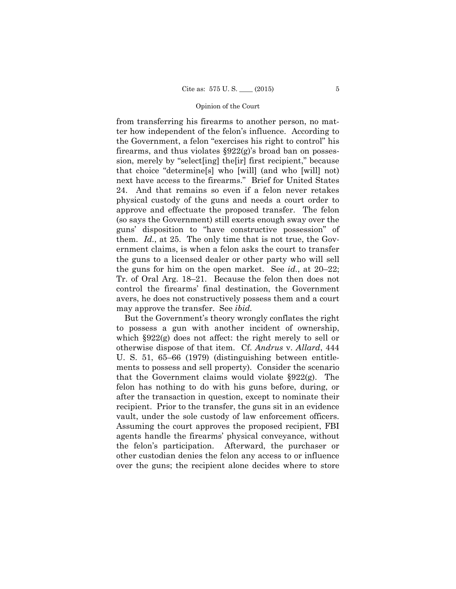from transferring his firearms to another person, no matter how independent of the felon's influence. According to the Government, a felon "exercises his right to control" his firearms, and thus violates §922(g)'s broad ban on possession, merely by "select[ing] the[ir] first recipient," because that choice "determine[s] who [will] (and who [will] not) next have access to the firearms." Brief for United States 24. And that remains so even if a felon never retakes physical custody of the guns and needs a court order to approve and effectuate the proposed transfer. The felon (so says the Government) still exerts enough sway over the guns' disposition to "have constructive possession" of them. *Id.*, at 25. The only time that is not true, the Government claims, is when a felon asks the court to transfer the guns to a licensed dealer or other party who will sell the guns for him on the open market. See *id.*, at 20–22; Tr. of Oral Arg. 18–21. Because the felon then does not control the firearms' final destination, the Government avers, he does not constructively possess them and a court may approve the transfer. See *ibid.* 

But the Government's theory wrongly conflates the right to possess a gun with another incident of ownership, which §922(g) does not affect: the right merely to sell or otherwise dispose of that item. Cf. *Andrus* v. *Allard*, 444 U. S. 51, 65–66 (1979) (distinguishing between entitlements to possess and sell property). Consider the scenario that the Government claims would violate §922(g). The felon has nothing to do with his guns before, during, or after the transaction in question, except to nominate their recipient. Prior to the transfer, the guns sit in an evidence vault, under the sole custody of law enforcement officers. Assuming the court approves the proposed recipient, FBI agents handle the firearms' physical conveyance, without the felon's participation. Afterward, the purchaser or other custodian denies the felon any access to or influence over the guns; the recipient alone decides where to store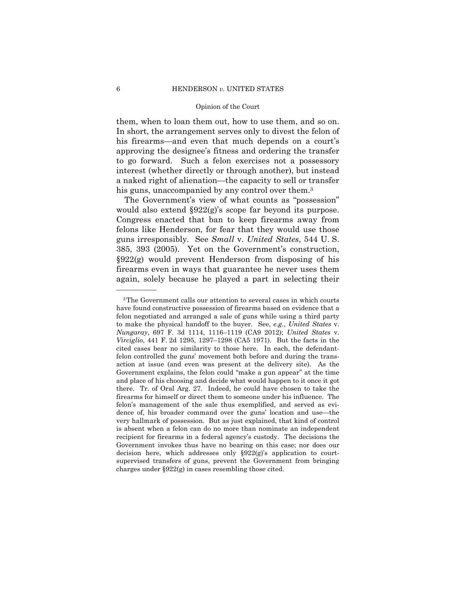them, when to loan them out, how to use them, and so on. In short, the arrangement serves only to divest the felon of his firearms—and even that much depends on a court's approving the designee's fitness and ordering the transfer to go forward. Such a felon exercises not a possessory interest (whether directly or through another), but instead a naked right of alienation—the capacity to sell or transfer his guns, unaccompanied by any control over them.<sup>3</sup>

The Government's view of what counts as "possession" would also extend  $\S 922(g)$ 's scope far beyond its purpose. Congress enacted that ban to keep firearms away from felons like Henderson, for fear that they would use those guns irresponsibly. See *Small* v. *United States*, 544 U. S. 385, 393 (2005). Yet on the Government's construction, §922(g) would prevent Henderson from disposing of his firearms even in ways that guarantee he never uses them again, solely because he played a part in selecting their

——————

 *Virciglio*, 441 F. 2d 1295, 1297–1298 (CA5 1971). But the facts in the 3The Government calls our attention to several cases in which courts have found constructive possession of firearms based on evidence that a felon negotiated and arranged a sale of guns while using a third party to make the physical handoff to the buyer. See, *e.g.*, *United States* v. *Nungaray*, 697 F. 3d 1114, 1116–1119 (CA9 2012); *United States* v. cited cases bear no similarity to those here. In each, the defendantfelon controlled the guns' movement both before and during the transaction at issue (and even was present at the delivery site). As the Government explains, the felon could "make a gun appear" at the time and place of his choosing and decide what would happen to it once it got there. Tr. of Oral Arg. 27. Indeed, he could have chosen to take the firearms for himself or direct them to someone under his influence. The felon's management of the sale thus exemplified, and served as evidence of, his broader command over the guns' location and use—the very hallmark of possession. But as just explained, that kind of control is absent when a felon can do no more than nominate an independent recipient for firearms in a federal agency's custody. The decisions the Government invokes thus have no bearing on this case; nor does our decision here, which addresses only §922(g)'s application to courtsupervised transfers of guns, prevent the Government from bringing charges under  $\S 922(g)$  in cases resembling those cited.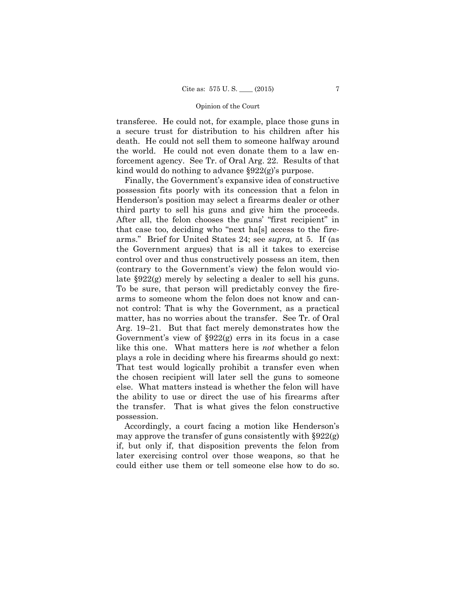transferee. He could not, for example, place those guns in a secure trust for distribution to his children after his death. He could not sell them to someone halfway around the world. He could not even donate them to a law enforcement agency. See Tr. of Oral Arg. 22. Results of that kind would do nothing to advance §922(g)'s purpose.

Finally, the Government's expansive idea of constructive possession fits poorly with its concession that a felon in Henderson's position may select a firearms dealer or other third party to sell his guns and give him the proceeds. After all, the felon chooses the guns' "first recipient" in that case too, deciding who "next ha[s] access to the firearms." Brief for United States 24; see *supra,* at 5. If (as the Government argues) that is all it takes to exercise control over and thus constructively possess an item, then (contrary to the Government's view) the felon would violate §922(g) merely by selecting a dealer to sell his guns. To be sure, that person will predictably convey the firearms to someone whom the felon does not know and cannot control: That is why the Government, as a practical matter, has no worries about the transfer. See Tr. of Oral Arg. 19–21. But that fact merely demonstrates how the Government's view of §922(g) errs in its focus in a case like this one. What matters here is *not* whether a felon plays a role in deciding where his firearms should go next: That test would logically prohibit a transfer even when the chosen recipient will later sell the guns to someone else. What matters instead is whether the felon will have the ability to use or direct the use of his firearms after the transfer. That is what gives the felon constructive possession.

Accordingly, a court facing a motion like Henderson's may approve the transfer of guns consistently with  $\S 922(g)$ if, but only if, that disposition prevents the felon from later exercising control over those weapons, so that he could either use them or tell someone else how to do so.